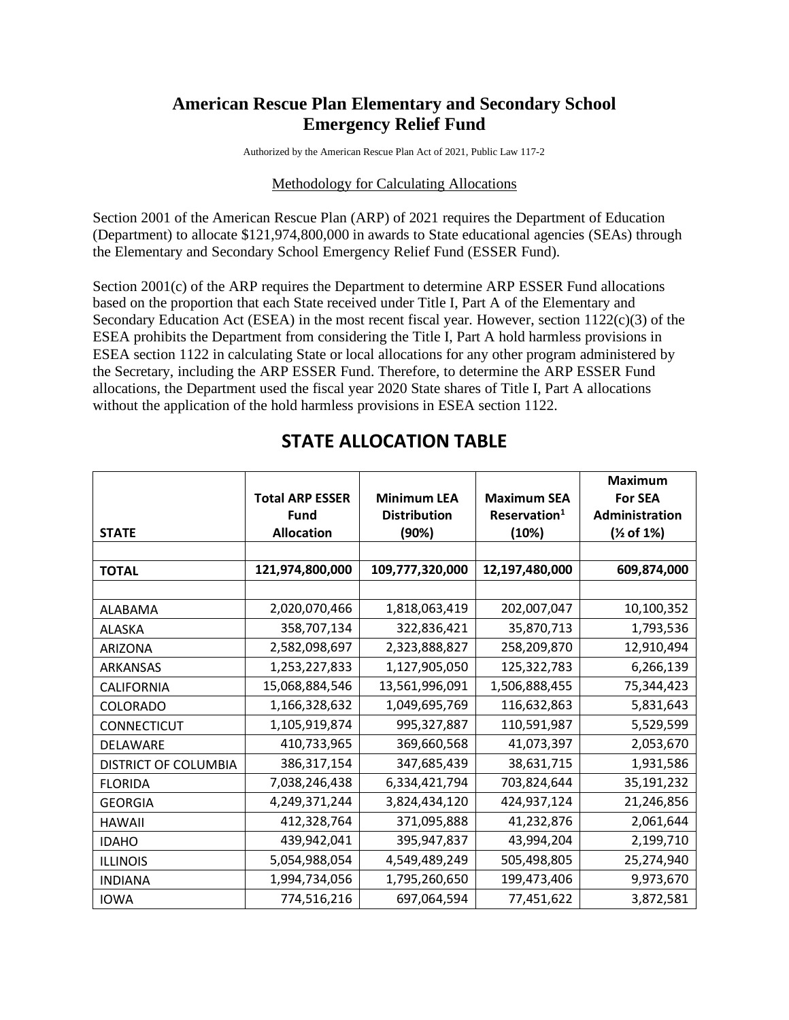## **American Rescue Plan Elementary and Secondary School Emergency Relief Fund**

Authorized by the American Rescue Plan Act of 2021, Public Law 117-2

## Methodology for Calculating Allocations

Section 2001 of the American Rescue Plan (ARP) of 2021 requires the Department of Education (Department) to allocate \$121,974,800,000 in awards to State educational agencies (SEAs) through the Elementary and Secondary School Emergency Relief Fund (ESSER Fund).

Section 2001(c) of the ARP requires the Department to determine ARP ESSER Fund allocations based on the proportion that each State received under Title I, Part A of the Elementary and Secondary Education Act (ESEA) in the most recent fiscal year. However, section 1122(c)(3) of the ESEA prohibits the Department from considering the Title I, Part A hold harmless provisions in ESEA section 1122 in calculating State or local allocations for any other program administered by the Secretary, including the ARP ESSER Fund. Therefore, to determine the ARP ESSER Fund allocations, the Department used the fiscal year 2020 State shares of Title I, Part A allocations without the application of the hold harmless provisions in ESEA section 1122.

|                             |                        |                     |                          | <b>Maximum</b>           |
|-----------------------------|------------------------|---------------------|--------------------------|--------------------------|
|                             | <b>Total ARP ESSER</b> | <b>Minimum LEA</b>  | <b>Maximum SEA</b>       | <b>For SEA</b>           |
|                             | Fund                   | <b>Distribution</b> | Reservation <sup>1</sup> | Administration           |
| <b>STATE</b>                | <b>Allocation</b>      | (90%)               | (10%)                    | ( <sup>1</sup> ⁄2 of 1%) |
|                             |                        |                     |                          |                          |
| <b>TOTAL</b>                | 121,974,800,000        | 109,777,320,000     | 12,197,480,000           | 609,874,000              |
|                             |                        |                     |                          |                          |
| ALABAMA                     | 2,020,070,466          | 1,818,063,419       | 202,007,047              | 10,100,352               |
| <b>ALASKA</b>               | 358,707,134            | 322,836,421         | 35,870,713               | 1,793,536                |
| <b>ARIZONA</b>              | 2,582,098,697          | 2,323,888,827       | 258,209,870              | 12,910,494               |
| <b>ARKANSAS</b>             | 1,253,227,833          | 1,127,905,050       | 125,322,783              | 6,266,139                |
| CALIFORNIA                  | 15,068,884,546         | 13,561,996,091      | 1,506,888,455            | 75,344,423               |
| <b>COLORADO</b>             | 1,166,328,632          | 1,049,695,769       | 116,632,863              | 5,831,643                |
| <b>CONNECTICUT</b>          | 1,105,919,874          | 995,327,887         | 110,591,987              | 5,529,599                |
| <b>DELAWARE</b>             | 410,733,965            | 369,660,568         | 41,073,397               | 2,053,670                |
| <b>DISTRICT OF COLUMBIA</b> | 386,317,154            | 347,685,439         | 38,631,715               | 1,931,586                |
| <b>FLORIDA</b>              | 7,038,246,438          | 6,334,421,794       | 703,824,644              | 35,191,232               |
| <b>GEORGIA</b>              | 4,249,371,244          | 3,824,434,120       | 424,937,124              | 21,246,856               |
| <b>HAWAII</b>               | 412,328,764            | 371,095,888         | 41,232,876               | 2,061,644                |
| <b>IDAHO</b>                | 439,942,041            | 395,947,837         | 43,994,204               | 2,199,710                |
| <b>ILLINOIS</b>             | 5,054,988,054          | 4,549,489,249       | 505,498,805              | 25,274,940               |
| <b>INDIANA</b>              | 1,994,734,056          | 1,795,260,650       | 199,473,406              | 9,973,670                |
| <b>IOWA</b>                 | 774,516,216            | 697,064,594         | 77,451,622               | 3,872,581                |

## **STATE ALLOCATION TABLE**